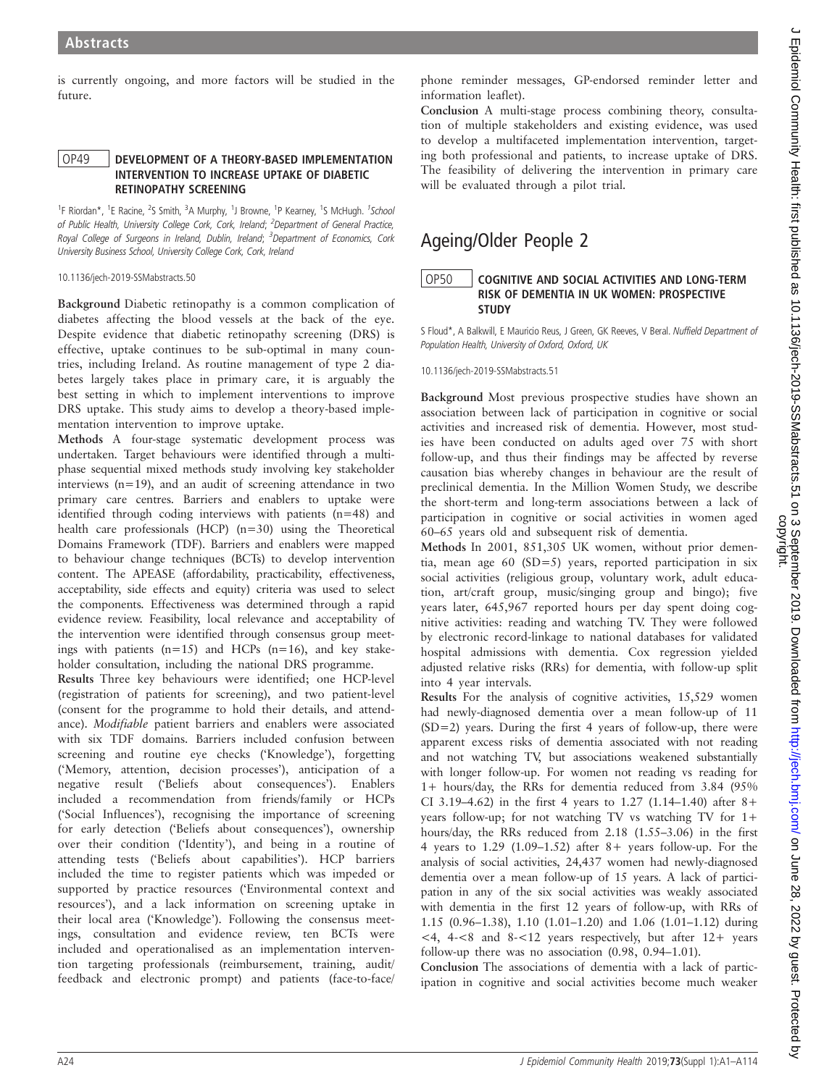is currently ongoing, and more factors will be studied in the future.

## OP49 DEVELOPMENT OF A THEORY-BASED IMPLEMENTATION INTERVENTION TO INCREASE UPTAKE OF DIABETIC RETINOPATHY SCREENING

<sup>1</sup>F Riordan\*, <sup>1</sup>E Racine, <sup>2</sup>S Smith, <sup>3</sup>A Murphy, <sup>1</sup>J Browne, <sup>1</sup>P Kearney, <sup>1</sup>S McHugh. <sup>1</sup>School of Public Health, University College Cork, Cork, Ireland; <sup>2</sup>Department of General Practice,<br>Royal College of Surgeons in Ireland, Dublin, Ireland; <sup>3</sup>Department of Economics, Cork University Business School, University College Cork, Cork, Ireland

10.1136/jech-2019-SSMabstracts.50

Background Diabetic retinopathy is a common complication of diabetes affecting the blood vessels at the back of the eye. Despite evidence that diabetic retinopathy screening (DRS) is effective, uptake continues to be sub-optimal in many countries, including Ireland. As routine management of type 2 diabetes largely takes place in primary care, it is arguably the best setting in which to implement interventions to improve DRS uptake. This study aims to develop a theory-based implementation intervention to improve uptake.

Methods A four-stage systematic development process was undertaken. Target behaviours were identified through a multiphase sequential mixed methods study involving key stakeholder interviews (n=19), and an audit of screening attendance in two primary care centres. Barriers and enablers to uptake were identified through coding interviews with patients (n=48) and health care professionals (HCP) (n=30) using the Theoretical Domains Framework (TDF). Barriers and enablers were mapped to behaviour change techniques (BCTs) to develop intervention content. The APEASE (affordability, practicability, effectiveness, acceptability, side effects and equity) criteria was used to select the components. Effectiveness was determined through a rapid evidence review. Feasibility, local relevance and acceptability of the intervention were identified through consensus group meetings with patients (n=15) and HCPs (n=16), and key stakeholder consultation, including the national DRS programme.

Results Three key behaviours were identified; one HCP-level (registration of patients for screening), and two patient-level (consent for the programme to hold their details, and attendance). Modifiable patient barriers and enablers were associated with six TDF domains. Barriers included confusion between screening and routine eye checks ('Knowledge'), forgetting ('Memory, attention, decision processes'), anticipation of a negative result ('Beliefs about consequences'). Enablers included a recommendation from friends/family or HCPs ('Social Influences'), recognising the importance of screening for early detection ('Beliefs about consequences'), ownership over their condition ('Identity'), and being in a routine of attending tests ('Beliefs about capabilities'). HCP barriers included the time to register patients which was impeded or supported by practice resources ('Environmental context and resources'), and a lack information on screening uptake in their local area ('Knowledge'). Following the consensus meetings, consultation and evidence review, ten BCTs were included and operationalised as an implementation intervention targeting professionals (reimbursement, training, audit/ feedback and electronic prompt) and patients (face-to-face/

phone reminder messages, GP-endorsed reminder letter and information leaflet).

Conclusion A multi-stage process combining theory, consultation of multiple stakeholders and existing evidence, was used to develop a multifaceted implementation intervention, targeting both professional and patients, to increase uptake of DRS. The feasibility of delivering the intervention in primary care will be evaluated through a pilot trial.

# Ageing/Older People 2

### OP50 COGNITIVE AND SOCIAL ACTIVITIES AND LONG-TERM RISK OF DEMENTIA IN UK WOMEN: PROSPECTIVE **STUDY**

S Floud\*, A Balkwill, E Mauricio Reus, J Green, GK Reeves, V Beral. Nuffield Department of Population Health, University of Oxford, Oxford, UK

10.1136/jech-2019-SSMabstracts.51

Background Most previous prospective studies have shown an association between lack of participation in cognitive or social activities and increased risk of dementia. However, most studies have been conducted on adults aged over 75 with short follow-up, and thus their findings may be affected by reverse causation bias whereby changes in behaviour are the result of preclinical dementia. In the Million Women Study, we describe the short-term and long-term associations between a lack of participation in cognitive or social activities in women aged 60–65 years old and subsequent risk of dementia.

Methods In 2001, 851,305 UK women, without prior dementia, mean age 60 (SD=5) years, reported participation in six social activities (religious group, voluntary work, adult education, art/craft group, music/singing group and bingo); five years later, 645,967 reported hours per day spent doing cognitive activities: reading and watching TV. They were followed by electronic record-linkage to national databases for validated hospital admissions with dementia. Cox regression yielded adjusted relative risks (RRs) for dementia, with follow-up split into 4 year intervals.

Results For the analysis of cognitive activities, 15,529 women had newly-diagnosed dementia over a mean follow-up of 11  $(SD=2)$  years. During the first 4 years of follow-up, there were apparent excess risks of dementia associated with not reading and not watching TV, but associations weakened substantially with longer follow-up. For women not reading vs reading for 1+ hours/day, the RRs for dementia reduced from 3.84 (95% CI 3.19–4.62) in the first 4 years to 1.27 (1.14–1.40) after  $8+$ years follow-up; for not watching TV vs watching TV for 1+ hours/day, the RRs reduced from 2.18 (1.55–3.06) in the first 4 years to 1.29 (1.09–1.52) after 8+ years follow-up. For the analysis of social activities, 24,437 women had newly-diagnosed dementia over a mean follow-up of 15 years. A lack of participation in any of the six social activities was weakly associated with dementia in the first 12 years of follow-up, with RRs of 1.15 (0.96–1.38), 1.10 (1.01–1.20) and 1.06 (1.01–1.12) during  $\leq$  4. 4 $\leq$ 8 and 8- $\leq$ 12 years respectively, but after 12+ years follow-up there was no association (0.98, 0.94–1.01).

Conclusion The associations of dementia with a lack of participation in cognitive and social activities become much weaker